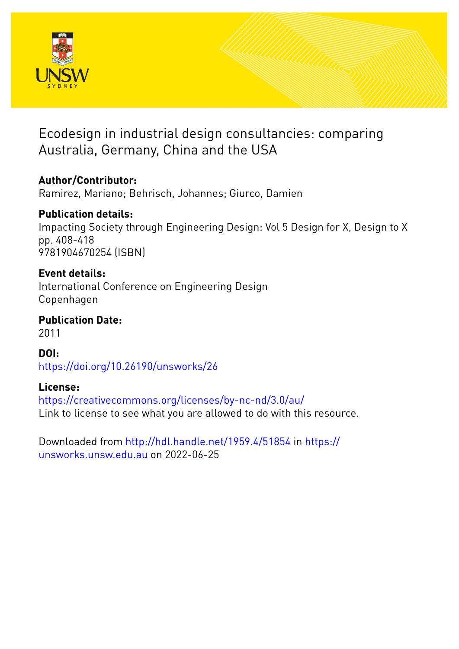

# Ecodesign in industrial design consultancies: comparing Australia, Germany, China and the USA

# **Author/Contributor:**

Ramirez, Mariano; Behrisch, Johannes; Giurco, Damien

# **Publication details:**

Impacting Society through Engineering Design: Vol 5 Design for X, Design to X pp. 408-418 9781904670254 (ISBN)

# **Event details:**

International Conference on Engineering Design Copenhagen

**Publication Date:** 2011

# **DOI:**

[https://doi.org/10.26190/unsworks/26](http://dx.doi.org/https://doi.org/10.26190/unsworks/26)

# **License:**

<https://creativecommons.org/licenses/by-nc-nd/3.0/au/> Link to license to see what you are allowed to do with this resource.

Downloaded from <http://hdl.handle.net/1959.4/51854> in [https://](https://unsworks.unsw.edu.au) [unsworks.unsw.edu.au](https://unsworks.unsw.edu.au) on 2022-06-25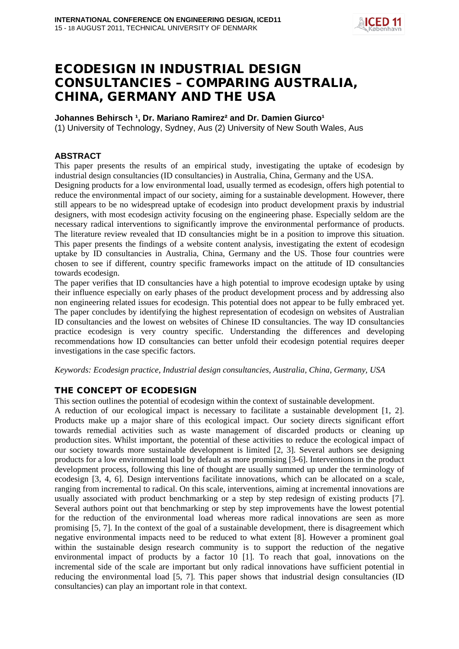

# ECODESIGN IN INDUSTRIAL DESIGN CONSULTANCIES – COMPARING AUSTRALIA, CHINA, GERMANY AND THE USA

### **Johannes Behirsch <sup>1</sup>, Dr. Mariano Ramirez<sup>2</sup> and Dr. Damien Giurco<sup>1</sup>**

(1) University of Technology, Sydney, Aus (2) University of New South Wales, Aus

# **ABSTRACT**

This paper presents the results of an empirical study, investigating the uptake of ecodesign by industrial design consultancies (ID consultancies) in Australia, China, Germany and the USA.

Designing products for a low environmental load, usually termed as ecodesign, offers high potential to reduce the environmental impact of our society, aiming for a sustainable development. However, there still appears to be no widespread uptake of ecodesign into product development praxis by industrial designers, with most ecodesign activity focusing on the engineering phase. Especially seldom are the necessary radical interventions to significantly improve the environmental performance of products. The literature review revealed that ID consultancies might be in a position to improve this situation. This paper presents the findings of a website content analysis, investigating the extent of ecodesign uptake by ID consultancies in Australia, China, Germany and the US. Those four countries were chosen to see if different, country specific frameworks impact on the attitude of ID consultancies towards ecodesign.

The paper verifies that ID consultancies have a high potential to improve ecodesign uptake by using their influence especially on early phases of the product development process and by addressing also non engineering related issues for ecodesign. This potential does not appear to be fully embraced yet. The paper concludes by identifying the highest representation of ecodesign on websites of Australian ID consultancies and the lowest on websites of Chinese ID consultancies. The way ID consultancies practice ecodesign is very country specific. Understanding the differences and developing recommendations how ID consultancies can better unfold their ecodesign potential requires deeper investigations in the case specific factors.

*Keywords: Ecodesign practice, Industrial design consultancies, Australia, China, Germany, USA*

# THE CONCEPT OF ECODESIGN

This section outlines the potential of ecodesign within the context of sustainable development.

A reduction of our ecological impact is necessary to facilitate a sustainable development [1, 2]. Products make up a major share of this ecological impact. Our society directs significant effort towards remedial activities such as waste management of discarded products or cleaning up production sites. Whilst important, the potential of these activities to reduce the ecological impact of our society towards more sustainable development is limited [2, 3]. Several authors see designing products for a low environmental load by default as more promising [3-6]. Interventions in the product development process, following this line of thought are usually summed up under the terminology of ecodesign [3, 4, 6]. Design interventions facilitate innovations, which can be allocated on a scale, ranging from incremental to radical. On this scale, interventions, aiming at incremental innovations are usually associated with product benchmarking or a step by step redesign of existing products [7]. Several authors point out that benchmarking or step by step improvements have the lowest potential for the reduction of the environmental load whereas more radical innovations are seen as more promising [5, 7]. In the context of the goal of a sustainable development, there is disagreement which negative environmental impacts need to be reduced to what extent [8]. However a prominent goal within the sustainable design research community is to support the reduction of the negative environmental impact of products by a factor 10 [1]. To reach that goal, innovations on the incremental side of the scale are important but only radical innovations have sufficient potential in reducing the environmental load [5, 7]. This paper shows that industrial design consultancies (ID consultancies) can play an important role in that context.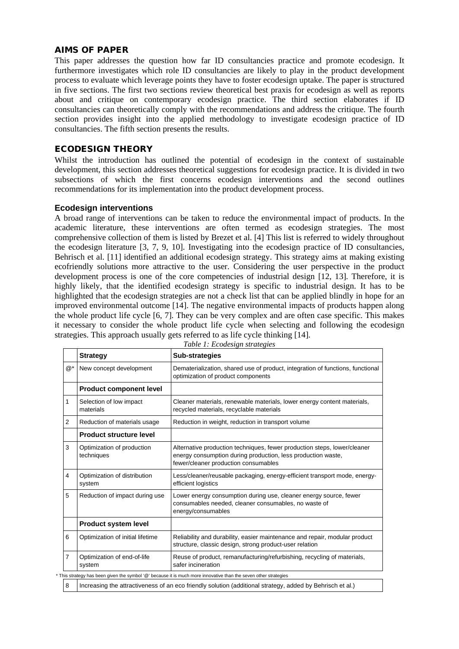#### AIMS OF PAPER

This paper addresses the question how far ID consultancies practice and promote ecodesign. It furthermore investigates which role ID consultancies are likely to play in the product development process to evaluate which leverage points they have to foster ecodesign uptake. The paper is structured in five sections. The first two sections review theoretical best praxis for ecodesign as well as reports about and critique on contemporary ecodesign practice. The third section elaborates if ID consultancies can theoretically comply with the recommendations and address the critique. The fourth section provides insight into the applied methodology to investigate ecodesign practice of ID consultancies. The fifth section presents the results.

# ECODESIGN THEORY

Whilst the introduction has outlined the potential of ecodesign in the context of sustainable development, this section addresses theoretical suggestions for ecodesign practice. It is divided in two subsections of which the first concerns ecodesign interventions and the second outlines recommendations for its implementation into the product development process.

#### **Ecodesign interventions**

A broad range of interventions can be taken to reduce the environmental impact of products. In the academic literature, these interventions are often termed as ecodesign strategies. The most comprehensive collection of them is listed by Brezet et al. [4] This list is referred to widely throughout the ecodesign literature [3, 7, 9, 10]. Investigating into the ecodesign practice of ID consultancies, Behrisch et al. [11] identified an additional ecodesign strategy. This strategy aims at making existing ecofriendly solutions more attractive to the user. Considering the user perspective in the product development process is one of the core competencies of industrial design [12, 13]. Therefore, it is highly likely, that the identified ecodesign strategy is specific to industrial design. It has to be highlighted that the ecodesign strategies are not a check list that can be applied blindly in hope for an improved environmental outcome [14]. The negative environmental impacts of products happen along the whole product life cycle [6, 7]. They can be very complex and are often case specific. This makes it necessary to consider the whole product life cycle when selecting and following the ecodesign strategies. This approach usually gets referred to as life cycle thinking [14].

|                                                                                                                | <b>Strategy</b>                                                                                           | <b>Sub-strategies</b>                                                                                                                                                            |  |
|----------------------------------------------------------------------------------------------------------------|-----------------------------------------------------------------------------------------------------------|----------------------------------------------------------------------------------------------------------------------------------------------------------------------------------|--|
| $@$ *                                                                                                          | New concept development                                                                                   | Dematerialization, shared use of product, integration of functions, functional<br>optimization of product components                                                             |  |
|                                                                                                                | <b>Product component level</b>                                                                            |                                                                                                                                                                                  |  |
| 1                                                                                                              | Selection of low impact<br>materials                                                                      | Cleaner materials, renewable materials, lower energy content materials,<br>recycled materials, recyclable materials                                                              |  |
| 2                                                                                                              | Reduction of materials usage                                                                              | Reduction in weight, reduction in transport volume                                                                                                                               |  |
|                                                                                                                | <b>Product structure level</b>                                                                            |                                                                                                                                                                                  |  |
| 3                                                                                                              | Optimization of production<br>techniques                                                                  | Alternative production techniques, fewer production steps, lower/cleaner<br>energy consumption during production, less production waste,<br>fewer/cleaner production consumables |  |
| 4                                                                                                              | Optimization of distribution<br>system                                                                    | Less/cleaner/reusable packaging, energy-efficient transport mode, energy-<br>efficient logistics                                                                                 |  |
| 5                                                                                                              | Reduction of impact during use                                                                            | Lower energy consumption during use, cleaner energy source, fewer<br>consumables needed, cleaner consumables, no waste of<br>energy/consumables                                  |  |
|                                                                                                                | Product system level                                                                                      |                                                                                                                                                                                  |  |
| 6                                                                                                              | Optimization of initial lifetime                                                                          | Reliability and durability, easier maintenance and repair, modular product<br>structure, classic design, strong product-user relation                                            |  |
| $\overline{7}$                                                                                                 | Optimization of end-of-life<br>system                                                                     | Reuse of product, remanufacturing/refurbishing, recycling of materials,<br>safer incineration                                                                                    |  |
| This strategy has been given the symbol '@' because it is much more innovative than the seven other strategies |                                                                                                           |                                                                                                                                                                                  |  |
| 8                                                                                                              | Increasing the attractiveness of an eco friendly solution (additional strategy, added by Behrisch et al.) |                                                                                                                                                                                  |  |

*Table 1: Ecodesign strategies*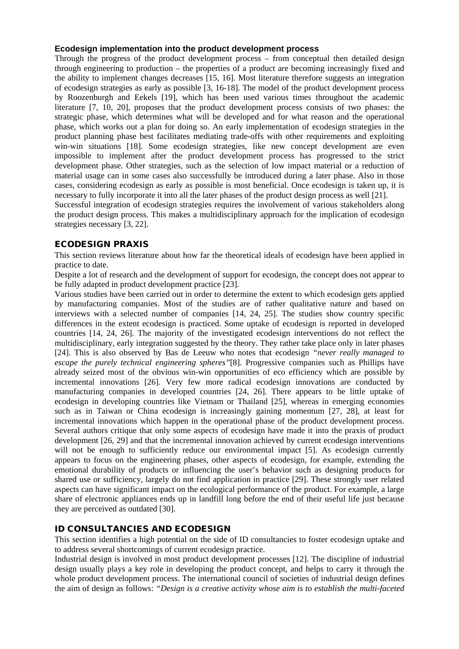#### **Ecodesign implementation into the product development process**

Through the progress of the product development process – from conceptual then detailed design through engineering to production – the properties of a product are becoming increasingly fixed and the ability to implement changes decreases [15, 16]. Most literature therefore suggests an integration of ecodesign strategies as early as possible [3, 16-18]. The model of the product development process by Roozenburgh and Eekels [19], which has been used various times throughout the academic literature [7, 10, 20], proposes that the product development process consists of two phases: the strategic phase, which determines what will be developed and for what reason and the operational phase, which works out a plan for doing so. An early implementation of ecodesign strategies in the product planning phase best facilitates mediating trade-offs with other requirements and exploiting win-win situations [18]. Some ecodesign strategies, like new concept development are even impossible to implement after the product development process has progressed to the strict development phase. Other strategies, such as the selection of low impact material or a reduction of material usage can in some cases also successfully be introduced during a later phase. Also in those cases, considering ecodesign as early as possible is most beneficial. Once ecodesign is taken up, it is necessary to fully incorporate it into all the later phases of the product design process as well [21].

Successful integration of ecodesign strategies requires the involvement of various stakeholders along the product design process. This makes a multidisciplinary approach for the implication of ecodesign strategies necessary [3, 22].

# ECODESIGN PRAXIS

This section reviews literature about how far the theoretical ideals of ecodesign have been applied in practice to date.

Despite a lot of research and the development of support for ecodesign, the concept does not appear to be fully adapted in product development practice [23].

Various studies have been carried out in order to determine the extent to which ecodesign gets applied by manufacturing companies. Most of the studies are of rather qualitative nature and based on interviews with a selected number of companies [14, 24, 25]. The studies show country specific differences in the extent ecodesign is practiced. Some uptake of ecodesign is reported in developed countries [14, 24, 26]. The majority of the investigated ecodesign interventions do not reflect the multidisciplinary, early integration suggested by the theory. They rather take place only in later phases [24]. This is also observed by Bas de Leeuw who notes that ecodesign *"never really managed to escape the purely technical engineering spheres"*[8]. Progressive companies such as Phillips have already seized most of the obvious win-win opportunities of eco efficiency which are possible by incremental innovations [26]. Very few more radical ecodesign innovations are conducted by manufacturing companies in developed countries [24, 26]. There appears to be little uptake of ecodesign in developing countries like Vietnam or Thailand [25], whereas in emerging economies such as in Taiwan or China ecodesign is increasingly gaining momentum [27, 28], at least for incremental innovations which happen in the operational phase of the product development process. Several authors critique that only some aspects of ecodesign have made it into the praxis of product development [26, 29] and that the incremental innovation achieved by current ecodesign interventions will not be enough to sufficiently reduce our environmental impact [5]. As ecodesign currently appears to focus on the engineering phases, other aspects of ecodesign, for example, extending the emotional durability of products or influencing the user's behavior such as designing products for shared use or sufficiency, largely do not find application in practice [29]. These strongly user related aspects can have significant impact on the ecological performance of the product. For example, a large share of electronic appliances ends up in landfill long before the end of their useful life just because they are perceived as outdated [30].

# ID CONSULTANCIES AND ECODESIGN

This section identifies a high potential on the side of ID consultancies to foster ecodesign uptake and to address several shortcomings of current ecodesign practice.

Industrial design is involved in most product development processes [12]. The discipline of industrial design usually plays a key role in developing the product concept, and helps to carry it through the whole product development process. The international council of societies of industrial design defines the aim of design as follows: *"Design is a creative activity whose aim is to establish the multi-faceted*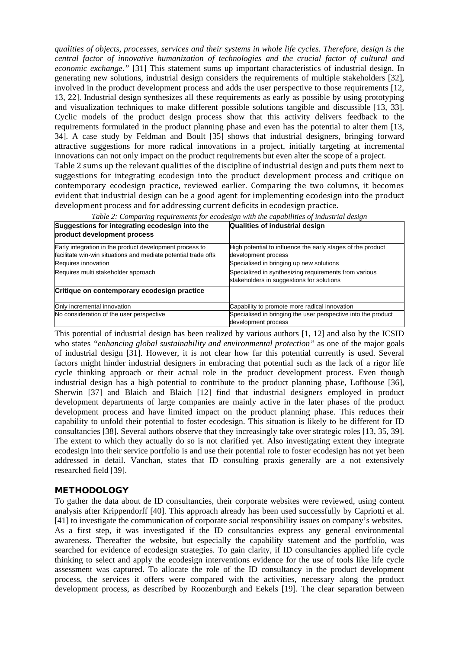*qualities of objects, processes, services and their systems in whole life cycles. Therefore, design is the central factor of innovative humanization of technologies and the crucial factor of cultural and economic exchange."* [31] This statement sums up important characteristics of industrial design. In generating new solutions, industrial design considers the requirements of multiple stakeholders [32], involved in the product development process and adds the user perspective to those requirements [12, 13, 22]. Industrial design synthesizes all these requirements as early as possible by using prototyping and visualization techniques to make different possible solutions tangible and discussible [13, 33]. Cyclic models of the product design process show that this activity delivers feedback to the requirements formulated in the product planning phase and even has the potential to alter them [13, 34]. A case study by Feldman and Boult [35] shows that industrial designers, bringing forward attractive suggestions for more radical innovations in a project, initially targeting at incremental innovations can not only impact on the product requirements but even alter the scope of a project.

Table 2 sums up the relevant qualities of the discipline of industrial design and puts them next to suggestions for integrating ecodesign into the product development process and critique on contemporary ecodesign practice, reviewed earlier. Comparing the two columns, it becomes evident that industrial design can be a good agent for implementing ecodesign into the product development process and for addressing current deficits in ecodesign practice.

| Suggestions for integrating ecodesign into the<br>product development process | Qualities of industrial design                                                                     |
|-------------------------------------------------------------------------------|----------------------------------------------------------------------------------------------------|
| Early integration in the product development process to                       | High potential to influence the early stages of the product                                        |
| facilitate win-win situations and mediate potential trade offs                | development process                                                                                |
| Requires innovation                                                           | Specialised in bringing up new solutions                                                           |
| Requires multi stakeholder approach                                           | Specialized in synthesizing requirements from various<br>stakeholders in suggestions for solutions |
| Critique on contemporary ecodesign practice                                   |                                                                                                    |
| Only incremental innovation                                                   | Capability to promote more radical innovation                                                      |
| No consideration of the user perspective                                      | Specialised in bringing the user perspective into the product<br>development process               |

*Table 2: Comparing requirements for ecodesign with the capabilities of industrial design*

This potential of industrial design has been realized by various authors [1, 12] and also by the ICSID who states *"enhancing global sustainability and environmental protection"* as one of the major goals of industrial design [31]. However, it is not clear how far this potential currently is used. Several factors might hinder industrial designers in embracing that potential such as the lack of a rigor life cycle thinking approach or their actual role in the product development process. Even though industrial design has a high potential to contribute to the product planning phase, Lofthouse [36], Sherwin [37] and Blaich and Blaich [12] find that industrial designers employed in product development departments of large companies are mainly active in the later phases of the product development process and have limited impact on the product planning phase. This reduces their capability to unfold their potential to foster ecodesign. This situation is likely to be different for ID consultancies [38]. Several authors observe that they increasingly take over strategic roles [13, 35, 39]. The extent to which they actually do so is not clarified yet. Also investigating extent they integrate ecodesign into their service portfolio is and use their potential role to foster ecodesign has not yet been addressed in detail. Vanchan, states that ID consulting praxis generally are a not extensively researched field [39].

#### **METHODOLOGY**

To gather the data about de ID consultancies, their corporate websites were reviewed, using content analysis after Krippendorff [40]. This approach already has been used successfully by Capriotti et al. [41] to investigate the communication of corporate social responsibility issues on company's websites. As a first step, it was investigated if the ID consultancies express any general environmental awareness. Thereafter the website, but especially the capability statement and the portfolio, was searched for evidence of ecodesign strategies. To gain clarity, if ID consultancies applied life cycle thinking to select and apply the ecodesign interventions evidence for the use of tools like life cycle assessment was captured. To allocate the role of the ID consultancy in the product development process, the services it offers were compared with the activities, necessary along the product development process, as described by Roozenburgh and Eekels [19]. The clear separation between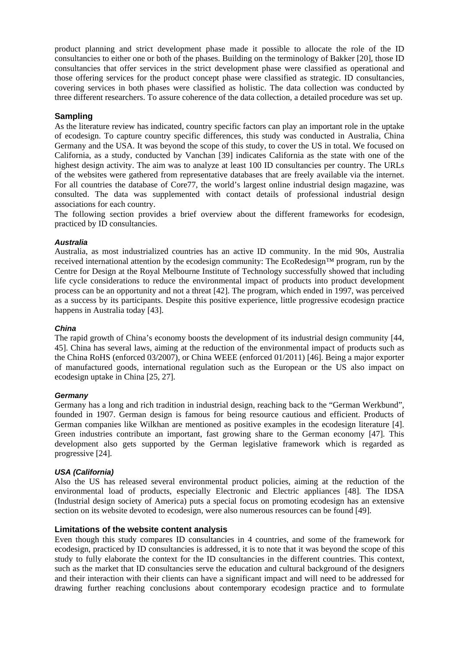product planning and strict development phase made it possible to allocate the role of the ID consultancies to either one or both of the phases. Building on the terminology of Bakker [20], those ID consultancies that offer services in the strict development phase were classified as operational and those offering services for the product concept phase were classified as strategic. ID consultancies, covering services in both phases were classified as holistic. The data collection was conducted by three different researchers. To assure coherence of the data collection, a detailed procedure was set up.

# **Sampling**

As the literature review has indicated, country specific factors can play an important role in the uptake of ecodesign. To capture country specific differences, this study was conducted in Australia, China Germany and the USA. It was beyond the scope of this study, to cover the US in total. We focused on California, as a study, conducted by Vanchan [39] indicates California as the state with one of the highest design activity. The aim was to analyze at least 100 ID consultancies per country. The URLs of the websites were gathered from representative databases that are freely available via the internet. For all countries the database of Core77, the world's largest online industrial design magazine, was consulted. The data was supplemented with contact details of professional industrial design associations for each country.

The following section provides a brief overview about the different frameworks for ecodesign, practiced by ID consultancies.

#### *Australia*

Australia, as most industrialized countries has an active ID community. In the mid 90s, Australia received international attention by the ecodesign community: The EcoRedesign™ program, run by the Centre for Design at the Royal Melbourne Institute of Technology successfully showed that including life cycle considerations to reduce the environmental impact of products into product development process can be an opportunity and not a threat [42]. The program, which ended in 1997, was perceived as a success by its participants. Despite this positive experience, little progressive ecodesign practice happens in Australia today [43].

#### *China*

The rapid growth of China's economy boosts the development of its industrial design community [44, 45]. China has several laws, aiming at the reduction of the environmental impact of products such as the China RoHS (enforced 03/2007), or China WEEE (enforced 01/2011) [46]. Being a major exporter of manufactured goods, international regulation such as the European or the US also impact on ecodesign uptake in China [25, 27].

#### *Germany*

Germany has a long and rich tradition in industrial design, reaching back to the "German Werkbund", founded in 1907. German design is famous for being resource cautious and efficient. Products of German companies like Wilkhan are mentioned as positive examples in the ecodesign literature [4]. Green industries contribute an important, fast growing share to the German economy [47]. This development also gets supported by the German legislative framework which is regarded as progressive [24].

#### *USA (California)*

Also the US has released several environmental product policies, aiming at the reduction of the environmental load of products, especially Electronic and Electric appliances [48]. The IDSA (Industrial design society of America) puts a special focus on promoting ecodesign has an extensive section on its website devoted to ecodesign, were also numerous resources can be found [49].

#### **Limitations of the website content analysis**

Even though this study compares ID consultancies in 4 countries, and some of the framework for ecodesign, practiced by ID consultancies is addressed, it is to note that it was beyond the scope of this study to fully elaborate the context for the ID consultancies in the different countries. This context, such as the market that ID consultancies serve the education and cultural background of the designers and their interaction with their clients can have a significant impact and will need to be addressed for drawing further reaching conclusions about contemporary ecodesign practice and to formulate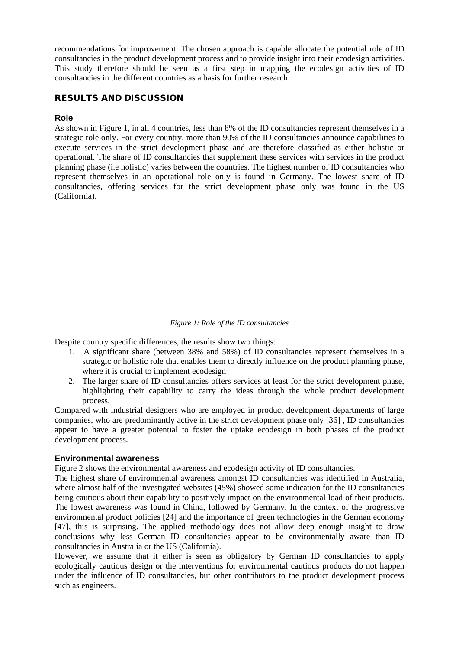recommendations for improvement. The chosen approach is capable allocate the potential role of ID consultancies in the product development process and to provide insight into their ecodesign activities. This study therefore should be seen as a first step in mapping the ecodesign activities of ID consultancies in the different countries as a basis for further research.

# RESULTS AND DISCUSSION

### **Role**

As shown in Figure 1, in all 4 countries, less than 8% of the ID consultancies represent themselves in a strategic role only. For every country, more than 90% of the ID consultancies announce capabilities to execute services in the strict development phase and are therefore classified as either holistic or operational. The share of ID consultancies that supplement these services with services in the product planning phase (i.e holistic) varies between the countries. The highest number of ID consultancies who represent themselves in an operational role only is found in Germany. The lowest share of ID consultancies, offering services for the strict development phase only was found in the US (California).

#### *Figure 1: Role of the ID consultancies*

Despite country specific differences, the results show two things:

- 1. A significant share (between 38% and 58%) of ID consultancies represent themselves in a strategic or holistic role that enables them to directly influence on the product planning phase, where it is crucial to implement ecodesign
- 2. The larger share of ID consultancies offers services at least for the strict development phase, highlighting their capability to carry the ideas through the whole product development process.

Compared with industrial designers who are employed in product development departments of large companies, who are predominantly active in the strict development phase only [36] , ID consultancies appear to have a greater potential to foster the uptake ecodesign in both phases of the product development process.

#### **Environmental awareness**

Figure 2 shows the environmental awareness and ecodesign activity of ID consultancies.

The highest share of environmental awareness amongst ID consultancies was identified in Australia, where almost half of the investigated websites (45%) showed some indication for the ID consultancies being cautious about their capability to positively impact on the environmental load of their products. The lowest awareness was found in China, followed by Germany. In the context of the progressive environmental product policies [24] and the importance of green technologies in the German economy [47], this is surprising. The applied methodology does not allow deep enough insight to draw conclusions why less German ID consultancies appear to be environmentally aware than ID consultancies in Australia or the US (California).

However, we assume that it either is seen as obligatory by German ID consultancies to apply ecologically cautious design or the interventions for environmental cautious products do not happen under the influence of ID consultancies, but other contributors to the product development process such as engineers.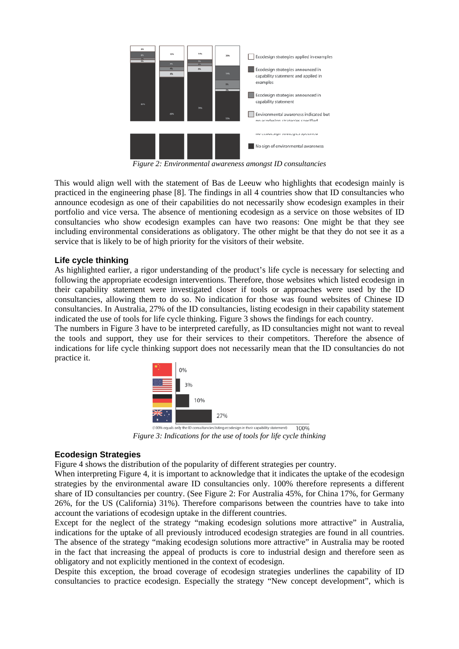

*Figure 2: Environmental awareness amongst ID consultancies*

This would align well with the statement of Bas de Leeuw who highlights that ecodesign mainly is practiced in the engineering phase [8]. The findings in all 4 countries show that ID consultancies who announce ecodesign as one of their capabilities do not necessarily show ecodesign examples in their portfolio and vice versa. The absence of mentioning ecodesign as a service on those websites of ID consultancies who show ecodesign examples can have two reasons: One might be that they see including environmental considerations as obligatory. The other might be that they do not see it as a service that is likely to be of high priority for the visitors of their website.

#### **Life cycle thinking**

As highlighted earlier, a rigor understanding of the product's life cycle is necessary for selecting and following the appropriate ecodesign interventions. Therefore, those websites which listed ecodesign in their capability statement were investigated closer if tools or approaches were used by the ID consultancies, allowing them to do so. No indication for those was found websites of Chinese ID consultancies. In Australia, 27% of the ID consultancies, listing ecodesign in their capability statement indicated the use of tools for life cycle thinking. Figure 3 shows the findings for each country.

The numbers in Figure 3 have to be interpreted carefully, as ID consultancies might not want to reveal the tools and support, they use for their services to their competitors. Therefore the absence of indications for life cycle thinking support does not necessarily mean that the ID consultancies do not practice it.



*Figure 3: Indications for the use of tools for life cycle thinking*

# **Ecodesign Strategies**

Figure 4 shows the distribution of the popularity of different strategies per country.

When interpreting Figure 4, it is important to acknowledge that it indicates the uptake of the ecodesign strategies by the environmental aware ID consultancies only. 100% therefore represents a different share of ID consultancies per country. (See Figure 2: For Australia 45%, for China 17%, for Germany 26%, for the US (California) 31%). Therefore comparisons between the countries have to take into account the variations of ecodesign uptake in the different countries.

Except for the neglect of the strategy "making ecodesign solutions more attractive" in Australia, indications for the uptake of all previously introduced ecodesign strategies are found in all countries. The absence of the strategy "making ecodesign solutions more attractive" in Australia may be rooted in the fact that increasing the appeal of products is core to industrial design and therefore seen as obligatory and not explicitly mentioned in the context of ecodesign.

Despite this exception, the broad coverage of ecodesign strategies underlines the capability of ID consultancies to practice ecodesign. Especially the strategy "New concept development", which is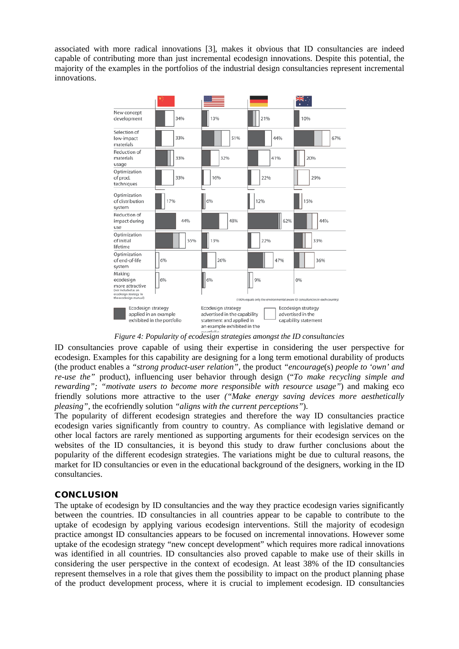associated with more radical innovations [3], makes it obvious that ID consultancies are indeed capable of contributing more than just incremental ecodesign innovations. Despite this potential, the majority of the examples in the portfolios of the industrial design consultancies represent incremental innovations.



*Figure 4: Popularity of ecodesign strategies amongst the ID consultancies*

ID consultancies prove capable of using their expertise in considering the user perspective for ecodesign. Examples for this capability are designing for a long term emotional durability of products (the product enables a *"strong product-user relation",* the product *"encourage*(s) *people to 'own' and re-use the"* product), influencing user behavior through design ("*To make recycling simple and rewarding"; "motivate users to become more responsible with resource usage"*) and making eco friendly solutions more attractive to the user *("Make energy saving devices more aesthetically pleasing",* the ecofriendly solution *"aligns with the current perceptions"*).

The popularity of different ecodesign strategies and therefore the way ID consultancies practice ecodesign varies significantly from country to country. As compliance with legislative demand or other local factors are rarely mentioned as supporting arguments for their ecodesign services on the websites of the ID consultancies, it is beyond this study to draw further conclusions about the popularity of the different ecodesign strategies. The variations might be due to cultural reasons, the market for ID consultancies or even in the educational background of the designers, working in the ID consultancies.

# **CONCLUSION**

The uptake of ecodesign by ID consultancies and the way they practice ecodesign varies significantly between the countries. ID consultancies in all countries appear to be capable to contribute to the uptake of ecodesign by applying various ecodesign interventions. Still the majority of ecodesign practice amongst ID consultancies appears to be focused on incremental innovations. However some uptake of the ecodesign strategy "new concept development" which requires more radical innovations was identified in all countries. ID consultancies also proved capable to make use of their skills in considering the user perspective in the context of ecodesign. At least 38% of the ID consultancies represent themselves in a role that gives them the possibility to impact on the product planning phase of the product development process, where it is crucial to implement ecodesign. ID consultancies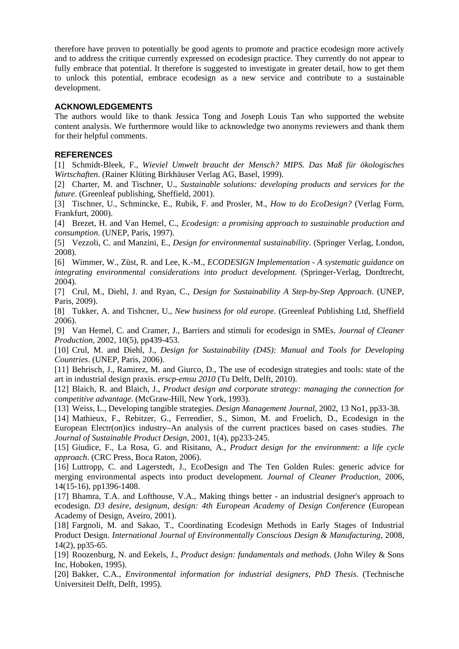therefore have proven to potentially be good agents to promote and practice ecodesign more actively and to address the critique currently expressed on ecodesign practice. They currently do not appear to fully embrace that potential. It therefore is suggested to investigate in greater detail, how to get them to unlock this potential, embrace ecodesign as a new service and contribute to a sustainable development.

#### **ACKNOWLEDGEMENTS**

The authors would like to thank Jessica Tong and Joseph Louis Tan who supported the website content analysis. We furthermore would like to acknowledge two anonyms reviewers and thank them for their helpful comments.

#### **REFERENCES**

[1] Schmidt-Bleek, F., *Wieviel Umwelt braucht der Mensch? MIPS. Das Maß für ökologisches Wirtschaften*. (Rainer Klüting Birkhäuser Verlag AG, Basel, 1999).

[2] Charter, M. and Tischner, U., *Sustainable solutions: developing products and services for the future*. (Greenleaf publishing, Sheffield, 2001).

[3] Tischner, U., Schmincke, E., Rubik, F. and Prosler, M., *How to do EcoDesign?* (Verlag Form, Frankfurt, 2000).

[4] Brezet, H. and Van Hemel, C., *Ecodesign: a promising approach to sustainable production and consumption*. (UNEP, Paris, 1997).

[5] Vezzoli, C. and Manzini, E., *Design for environmental sustainability*. (Springer Verlag, London, 2008).

[6] Wimmer, W., Züst, R. and Lee, K.-M., *ECODESIGN Implementation - A systematic guidance on integrating environmental considerations into product development*. (Springer-Verlag, Dordtrecht, 2004).

[7] Crul, M., Diehl, J. and Ryan, C., *Design for Sustainability A Step-by-Step Approach*. (UNEP, Paris, 2009).

[8] Tukker, A. and Tishcner, U., *New business for old europe*. (Greenleaf Publishing Ltd, Sheffield 2006).

[9] Van Hemel, C. and Cramer, J., Barriers and stimuli for ecodesign in SMEs. *Journal of Cleaner Production*, 2002, 10(5), pp439-453.

[10] Crul, M. and Diehl, J., *Design for Sustainability (D4S): Manual and Tools for Developing Countries*. (UNEP, Paris, 2006).

[11] Behrisch, J., Ramirez, M. and Giurco, D., The use of ecodesign strategies and tools: state of the art in industrial design praxis. *erscp-emsu 2010* (Tu Delft, Delft, 2010).

[12] Blaich, R. and Blaich, J., *Product design and corporate strategy: managing the connection for competitive advantage*. (McGraw-Hill, New York, 1993).

[13] Weiss, L., Developing tangible strategies. *Design Management Journal*, 2002, 13 No1, pp33-38.

[14] Mathieux, F., Rebitzer, G., Ferrendier, S., Simon, M. and Froelich, D., Ecodesign in the European Electr(on)ics industry–An analysis of the current practices based on cases studies. *The Journal of Sustainable Product Design*, 2001, 1(4), pp233-245.

[15] Giudice, F., La Rosa, G. and Risitano, A., *Product design for the environment: a life cycle approach*. (CRC Press, Boca Raton, 2006).

[16] Luttropp, C. and Lagerstedt, J., EcoDesign and The Ten Golden Rules: generic advice for merging environmental aspects into product development. *Journal of Cleaner Production*, 2006, 14(15-16), pp1396-1408.

[17] Bhamra, T.A. and Lofthouse, V.A., Making things better - an industrial designer's approach to ecodesign. *D3 desire, designum, design: 4th European Academy of Design Conference* (European Academy of Design, Aveiro, 2001).

[18] Fargnoli, M. and Sakao, T., Coordinating Ecodesign Methods in Early Stages of Industrial Product Design. *International Journal of Environmentally Conscious Design & Manufacturing*, 2008, 14(2), pp35-65.

[19] Roozenburg, N. and Eekels, J., *Product design: fundamentals and methods*. (John Wiley & Sons Inc, Hoboken, 1995).

[20] Bakker, C.A., *Environmental information for industrial designers, PhD Thesis*. (Technische Universiteit Delft, Delft, 1995).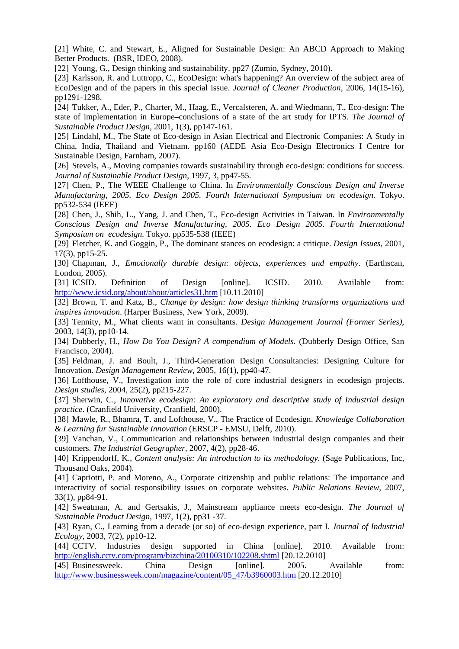[21] White, C. and Stewart, E., Aligned for Sustainable Design: An ABCD Approach to Making Better Products. (BSR, IDEO, 2008).

[22] Young, G., Design thinking and sustainability. pp27 (Zumio, Sydney, 2010).

[23] Karlsson, R. and Luttropp, C., EcoDesign: what's happening? An overview of the subject area of EcoDesign and of the papers in this special issue. *Journal of Cleaner Production*, 2006, 14(15-16), pp1291-1298.

[24] Tukker, A., Eder, P., Charter, M., Haag, E., Vercalsteren, A. and Wiedmann, T., Eco-design: The state of implementation in Europe–conclusions of a state of the art study for IPTS. *The Journal of Sustainable Product Design*, 2001, 1(3), pp147-161.

[25] Lindahl, M., The State of Eco-design in Asian Electrical and Electronic Companies: A Study in China, India, Thailand and Vietnam. pp160 (AEDE Asia Eco-Design Electronics I Centre for Sustainable Design, Farnham, 2007).

[26] Stevels, A., Moving companies towards sustainability through eco-design: conditions for success. *Journal of Sustainable Product Design*, 1997, 3, pp47-55.

[27] Chen, P., The WEEE Challenge to China. In *Environmentally Conscious Design and Inverse Manufacturing, 2005. Eco Design 2005. Fourth International Symposium on ecodesign.* Tokyo. pp532-534 (IEEE)

[28] Chen, J., Shih, L., Yang, J. and Chen, T., Eco-design Activities in Taiwan. In *Environmentally Conscious Design and Inverse Manufacturing, 2005. Eco Design 2005. Fourth International Symposium on ecodesign.* Tokyo. pp535-538 (IEEE)

[29] Fletcher, K. and Goggin, P., The dominant stances on ecodesign: a critique. *Design Issues*, 2001, 17(3), pp15-25.

[30] Chapman, J., *Emotionally durable design: objects, experiences and empathy*. (Earthscan, London, 2005).

[31] ICSID. Definition of Design [online]. ICSID. 2010. Available from: <http://www.icsid.org/about/about/articles31.htm> [10.11.2010]

[32] Brown, T. and Katz, B., *Change by design: how design thinking transforms organizations and inspires innovation*. (Harper Business, New York, 2009).

[33] Tennity, M., What clients want in consultants. *Design Management Journal (Former Series)*, 2003, 14(3), pp10-14.

[34] Dubberly, H., *How Do You Design? A compendium of Models*. (Dubberly Design Office, San Francisco, 2004).

[35] Feldman, J. and Boult, J., Third-Generation Design Consultancies: Designing Culture for Innovation. *Design Management Review*, 2005, 16(1), pp40-47.

[36] Lofthouse, V., Investigation into the role of core industrial designers in ecodesign projects. *Design studies*, 2004, 25(2), pp215-227.

[37] Sherwin, C., *Innovative ecodesign: An exploratory and descriptive study of Industrial design practice*. (Cranfield University, Cranfield, 2000).

[38] Mawle, R., Bhamra, T. and Lofthouse, V., The Practice of Ecodesign. *Knowledge Collaboration & Learning fur Sustainable Innovation* (ERSCP - EMSU, Delft, 2010).

[39] Vanchan, V., Communication and relationships between industrial design companies and their customers. *The Industrial Geographer*, 2007, 4(2), pp28-46.

[40] Krippendorff, K., *Content analysis: An introduction to its methodology*. (Sage Publications, Inc, Thousand Oaks, 2004).

[41] Capriotti, P. and Moreno, A., Corporate citizenship and public relations: The importance and interactivity of social responsibility issues on corporate websites. *Public Relations Review*, 2007, 33(1), pp84-91.

[42] Sweatman, A. and Gertsakis, J., Mainstream appliance meets eco-design. *The Journal of Sustainable Product Design*, 1997, 1(2), pp31 -37.

[43] Ryan, C., Learning from a decade (or so) of eco-design experience, part I. *Journal of Industrial Ecology*, 2003, 7(2), pp10-12.

[44] CCTV. Industries design supported in China [online]. 2010. Available from: <http://english.cctv.com/program/bizchina/20100310/102208.shtml> [20.12.2010]

[45] Businessweek. China Design [online]. 2005. Available from: [http://www.businessweek.com/magazine/content/05\\_47/b3960003.htm](http://www.businessweek.com/magazine/content/05_47/b3960003.htm) [20.12.2010]